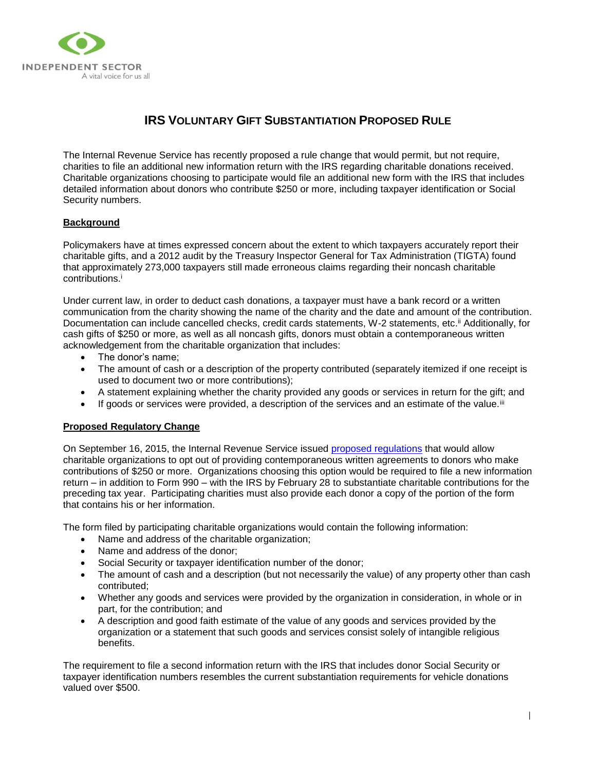

# **IRS VOLUNTARY GIFT SUBSTANTIATION PROPOSED RULE**

The Internal Revenue Service has recently proposed a rule change that would permit, but not require, charities to file an additional new information return with the IRS regarding charitable donations received. Charitable organizations choosing to participate would file an additional new form with the IRS that includes detailed information about donors who contribute \$250 or more, including taxpayer identification or Social Security numbers.

## **Background**

Policymakers have at times expressed concern about the extent to which taxpayers accurately report their charitable gifts, and a 2012 audit by the Treasury Inspector General for Tax Administration (TIGTA) found that approximately 273,000 taxpayers still made erroneous claims regarding their noncash charitable contributions.<sup>i</sup>

Under current law, in order to deduct cash donations, a taxpayer must have a bank record or a written communication from the charity showing the name of the charity and the date and amount of the contribution. Documentation can include cancelled checks, credit cards statements, W-2 statements, etc.<sup>ii</sup> Additionally, for cash gifts of \$250 or more, as well as all noncash gifts, donors must obtain a contemporaneous written acknowledgement from the charitable organization that includes:

- The donor's name;
- The amount of cash or a description of the property contributed (separately itemized if one receipt is used to document two or more contributions);
- A statement explaining whether the charity provided any goods or services in return for the gift; and
- $\bullet$  If goods or services were provided, a description of the services and an estimate of the value.<sup>iii</sup>

#### **Proposed Regulatory Change**

On September 16, 2015, the Internal Revenue Service issued [proposed regulations](http://op.bna.com/der.nsf/id/klan-a2ej7c/$File/REG-138344-13.pdf) that would allow charitable organizations to opt out of providing contemporaneous written agreements to donors who make contributions of \$250 or more. Organizations choosing this option would be required to file a new information return – in addition to Form 990 – with the IRS by February 28 to substantiate charitable contributions for the preceding tax year. Participating charities must also provide each donor a copy of the portion of the form that contains his or her information.

The form filed by participating charitable organizations would contain the following information:

- Name and address of the charitable organization;
- Name and address of the donor;
- Social Security or taxpayer identification number of the donor;
- The amount of cash and a description (but not necessarily the value) of any property other than cash contributed;
- Whether any goods and services were provided by the organization in consideration, in whole or in part, for the contribution; and
- A description and good faith estimate of the value of any goods and services provided by the organization or a statement that such goods and services consist solely of intangible religious benefits.

The requirement to file a second information return with the IRS that includes donor Social Security or taxpayer identification numbers resembles the current substantiation requirements for vehicle donations valued over \$500.